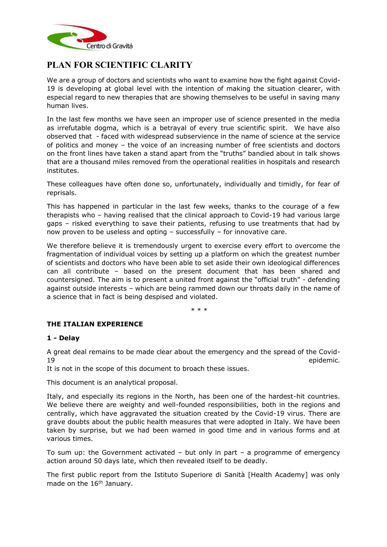

# **PLAN FOR SCIENTIFIC CLARITY**

We are a group of doctors and scientists who want to examine how the fight against Covid-19 is developing at global level with the intention of making the situation clearer, with especial regard to new therapies that are showing themselves to be useful in saving many human lives.

In the last few months we have seen an improper use of science presented in the media as irrefutable dogma, which is a betrayal of every true scientific spirit. We have also observed that - faced with widespread subservience in the name of science at the service of politics and money – the voice of an increasing number of free scientists and doctors on the front lines have taken a stand apart from the "truths" bandied about in talk shows that are a thousand miles removed from the operational realities in hospitals and research institutes.

These colleagues have often done so, unfortunately, individually and timidly, for fear of reprisals.

This has happened in particular in the last few weeks, thanks to the courage of a few therapists who – having realised that the clinical approach to Covid-19 had various large gaps – risked everything to save their patients, refusing to use treatments that had by now proven to be useless and opting – successfully – for innovative care.

We therefore believe it is tremendously urgent to exercise every effort to overcome the fragmentation of individual voices by setting up a platform on which the greatest number of scientists and doctors who have been able to set aside their own ideological differences can all contribute – based on the present document that has been shared and countersigned. The aim is to present a united front against the "official truth" - defending against outside interests – which are being rammed down our throats daily in the name of a science that in fact is being despised and violated.

\* \* \*

# **THE ITALIAN EXPERIENCE**

# **1 - Delay**

A great deal remains to be made clear about the emergency and the spread of the Covid-19 **epidemic.** 

It is not in the scope of this document to broach these issues.

This document is an analytical proposal.

Italy, and especially its regions in the North, has been one of the hardest-hit countries. We believe there are weighty and well-founded responsibilities, both in the regions and centrally, which have aggravated the situation created by the Covid-19 virus. There are grave doubts about the public health measures that were adopted in Italy. We have been taken by surprise, but we had been warned in good time and in various forms and at various times.

To sum up: the Government activated – but only in part – a programme of emergency action around 50 days late, which then revealed itself to be deadly.

The first public report from the Istituto Superiore di Sanità [Health Academy] was only made on the 16<sup>th</sup> January.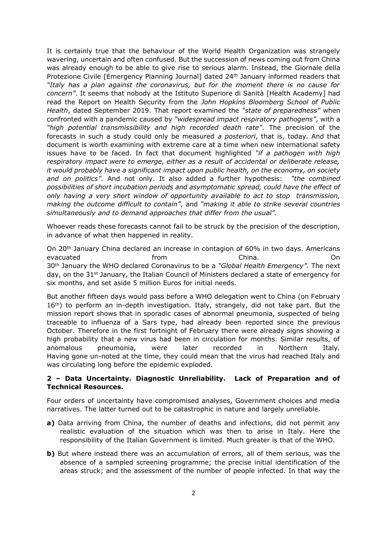It is certainly true that the behaviour of the World Health Organization was strangely wavering, uncertain and often confused. But the succession of news coming out from China was already enough to be able to give rise to serious alarm. Instead, the Giornale della Protezione Civile [Emergency Planning Journal] dated 24<sup>th</sup> January informed readers that *"Italy has a plan against the coronavirus, but for the moment there is no cause for concern"*. It seems that nobody at the Istituto Superiore di Sanità [Health Academy] had read the Report on Health Security from the *John Hopkins Bloomberg School of Public Health*, dated September 2019. That report examined the *"state of preparedness"* when confronted with a pandemic caused by *"widespread impact respiratory pathogens"*, with a *"high potential transmissibility and high recorded death rate"*. The precision of the forecasts in such a study could only be measured *a posteriori*, that is, today. And that document is worth examining with extreme care at a time when new international safety issues have to be faced. In fact that document highlighted *"if a pathogen with high respiratory impact were to emerge, either as a result of accidental or deliberate release, it would probably have a significant impact upon public health, on the economy, on society and on politics"*. And not only. It also added a further hypothesis: *"the combined possibilities of short incubation periods and asymptomatic spread, could have the effect of only having a very short window of opportunity available to act to stop transmission, making the outcome difficult to contain"*, and *"making it able to strike several countries simultaneously and to demand approaches that differ from the usual".*

Whoever reads these forecasts cannot fail to be struck by the precision of the description, in advance of what then happened in reality.

On 20th January China declared an increase in contagion of 60% in two days. Americans evacuated from China. On 30th January the WHO declared Coronavirus to be a *"Global Health Emergency".* The next day, on the 31st January, the Italian Council of Ministers declared a state of emergency for six months, and set aside 5 million Euros for initial needs.

But another fifteen days would pass before a WHO delegation went to China (on February  $16<sup>th</sup>$ ) to perform an in-depth investigation. Italy, strangely, did not take part. But the mission report shows that in sporadic cases of abnormal pneumonia, suspected of being traceable to influenza of a Sars type, had already been reported since the previous October. Therefore in the first fortnight of February there were already signs showing a high probability that a new virus had been in circulation for months. Similar results, of anomalous pneumonia, were later recorded in Northern Italy. Having gone un-noted at the time, they could mean that the virus had reached Italy and was circulating long before the epidemic exploded.

# **2 – Data Uncertainty. Diagnostic Unreliability. Lack of Preparation and of Technical Resources.**

Four orders of uncertainty have compromised analyses, Government choices and media narratives. The latter turned out to be catastrophic in nature and largely unreliable.

- **a)** Data arriving from China, the number of deaths and infections, did not permit any realistic evaluation of the situation which was then to arise in Italy. Here the responsibility of the Italian Government is limited. Much greater is that of the WHO.
- **b)** But where instead there was an accumulation of errors, all of them serious, was the absence of a sampled screening programme; the precise initial identification of the areas struck; and the assessment of the number of people infected. In that way the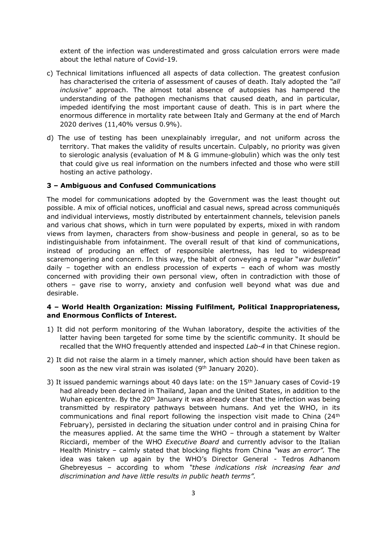extent of the infection was underestimated and gross calculation errors were made about the lethal nature of Covid-19.

- c) Technical limitations influenced all aspects of data collection. The greatest confusion has characterised the criteria of assessment of causes of death. Italy adopted the *"all inclusive"* approach. The almost total absence of autopsies has hampered the understanding of the pathogen mechanisms that caused death, and in particular, impeded identifying the most important cause of death. This is in part where the enormous difference in mortality rate between Italy and Germany at the end of March 2020 derives (11,40% versus 0.9%).
- d) The use of testing has been unexplainably irregular, and not uniform across the territory. That makes the validity of results uncertain. Culpably, no priority was given to sierologic analysis (evaluation of M & G immune-globulin) which was the only test that could give us real information on the numbers infected and those who were still hosting an active pathology.

#### **3 – Ambiguous and Confused Communications**

The model for communications adopted by the Government was the least thought out possible. A mix of official notices, unofficial and casual news, spread across communiqués and individual interviews, mostly distributed by entertainment channels, television panels and various chat shows, which in turn were populated by experts, mixed in with random views from laymen, characters from show-business and people in general, so as to be indistinguishable from infotainment. The overall result of that kind of communications, instead of producing an effect of responsible alertness, has led to widespread scaremongering and concern. In this way, the habit of conveying a regular "*war bulletin*" daily – together with an endless procession of experts – each of whom was mostly concerned with providing their own personal view, often in contradiction with those of others – gave rise to worry, anxiety and confusion well beyond what was due and desirable.

# **4 – World Health Organization: Missing Fulfilment, Political Inappropriateness, and Enormous Conflicts of Interest.**

- 1) It did not perform monitoring of the Wuhan laboratory, despite the activities of the latter having been targeted for some time by the scientific community. It should be recalled that the WHO frequently attended and inspected *Lab-4* in that Chinese region.
- 2) It did not raise the alarm in a timely manner, which action should have been taken as soon as the new viral strain was isolated (9<sup>th</sup> January 2020).
- 3) It issued pandemic warnings about 40 days late: on the  $15<sup>th</sup>$  January cases of Covid-19 had already been declared in Thailand, Japan and the United States, in addition to the Wuhan epicentre. By the  $20<sup>th</sup>$  January it was already clear that the infection was being transmitted by respiratory pathways between humans. And yet the WHO, in its communications and final report following the inspection visit made to China (24th February), persisted in declaring the situation under control and in praising China for the measures applied. At the same time the WHO – through a statement by Walter Ricciardi, member of the WHO *Executive Board* and currently advisor to the Italian Health Ministry – calmly stated that blocking flights from China *"was an error".* The idea was taken up again by the WHO's Director General - Tedros Adhanom Ghebreyesus – according to whom *"these indications risk increasing fear and discrimination and have little results in public heath terms".*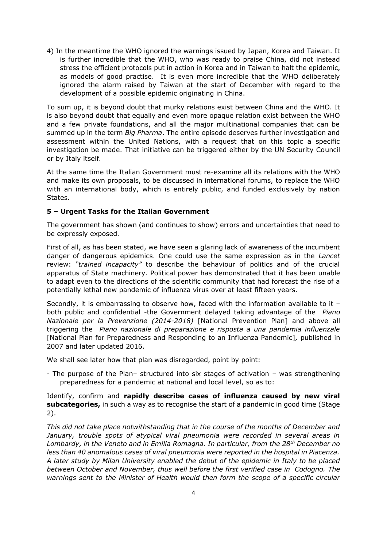4) In the meantime the WHO ignored the warnings issued by Japan, Korea and Taiwan. It is further incredible that the WHO, who was ready to praise China, did not instead stress the efficient protocols put in action in Korea and in Taiwan to halt the epidemic, as models of good practise. It is even more incredible that the WHO deliberately ignored the alarm raised by Taiwan at the start of December with regard to the development of a possible epidemic originating in China.

To sum up, it is beyond doubt that murky relations exist between China and the WHO. It is also beyond doubt that equally and even more opaque relation exist between the WHO and a few private foundations, and all the major multinational companies that can be summed up in the term *Big Pharma*. The entire episode deserves further investigation and assessment within the United Nations, with a request that on this topic a specific investigation be made. That initiative can be triggered either by the UN Security Council or by Italy itself.

At the same time the Italian Government must re-examine all its relations with the WHO and make its own proposals, to be discussed in international forums, to replace the WHO with an international body, which is entirely public, and funded exclusively by nation States.

# **5 – Urgent Tasks for the Italian Government**

The government has shown (and continues to show) errors and uncertainties that need to be expressly exposed.

First of all, as has been stated, we have seen a glaring lack of awareness of the incumbent danger of dangerous epidemics. One could use the same expression as in the *Lancet*  review: *"trained incapacity"* to describe the behaviour of politics and of the crucial apparatus of State machinery. Political power has demonstrated that it has been unable to adapt even to the directions of the scientific community that had forecast the rise of a potentially lethal new pandemic of influenza virus over at least fifteen years.

Secondly, it is embarrassing to observe how, faced with the information available to it  $$ both public and confidential -the Government delayed taking advantage of the *Piano Nazionale per la Prevenzione (2014-2018)* [National Prevention Plan] and above all triggering the *Piano nazionale di preparazione e risposta a una pandemia influenzale* [National Plan for Preparedness and Responding to an Influenza Pandemic]*,* published in 2007 and later updated 2016.

We shall see later how that plan was disregarded, point by point:

- The purpose of the Plan– structured into six stages of activation – was strengthening preparedness for a pandemic at national and local level, so as to:

Identify, confirm and **rapidly describe cases of influenza caused by new viral subcategories,** in such a way as to recognise the start of a pandemic in good time (Stage 2).

*This did not take place notwithstanding that in the course of the months of December and January, trouble spots of atypical viral pneumonia were recorded in several areas in Lombardy, in the Veneto and in Emilia Romagna. In particular, from the 28th December no less than 40 anomalous cases of viral pneumonia were reported in the hospital in Piacenza. A later study by Milan University enabled the debut of the epidemic in Italy to be placed between October and November, thus well before the first verified case in Codogno. The warnings sent to the Minister of Health would then form the scope of a specific circular*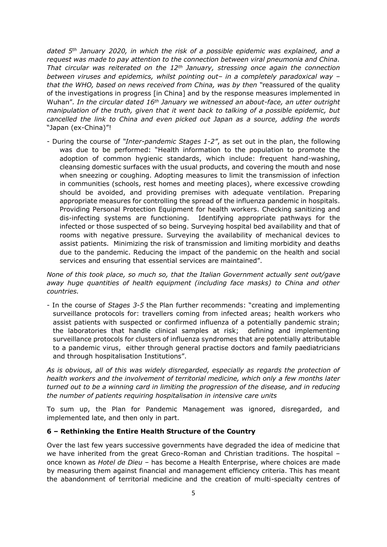*dated 5th January 2020, in which the risk of a possible epidemic was explained, and a request was made to pay attention to the connection between viral pneumonia and China. That circular was reiterated on the 12th January, stressing once again the connection between viruses and epidemics, whilst pointing out*– *in a completely paradoxical way* – *that the WHO, based on news received from China, was by then "*reassured of the quality of the investigations in progress [in China] and by the response measures implemented in Wuhan"*. In the circular dated 16th January we witnessed an about-face, an utter outright manipulation of the truth, given that it went back to talking of a possible epidemic, but cancelled the link to China and even picked out Japan as a source, adding the words*  "Japan (ex-China)"!

- During the course of *"Inter-pandemic Stages 1-2"*, as set out in the plan, the following was due to be performed: "Health information to the population to promote the adoption of common hygienic standards, which include: frequent hand-washing, cleansing domestic surfaces with the usual products, and covering the mouth and nose when sneezing or coughing. Adopting measures to limit the transmission of infection in communities (schools, rest homes and meeting places), where excessive crowding should be avoided, and providing premises with adequate ventilation. Preparing appropriate measures for controlling the spread of the influenza pandemic in hospitals. Providing Personal Protection Equipment for health workers. Checking sanitizing and dis-infecting systems are functioning. Identifying appropriate pathways for the infected or those suspected of so being. Surveying hospital bed availability and that of rooms with negative pressure. Surveying the availability of mechanical devices to assist patients. Minimizing the risk of transmission and limiting morbidity and deaths due to the pandemic. Reducing the impact of the pandemic on the health and social services and ensuring that essential services are maintained".

*None of this took place, so much so, that the Italian Government actually sent out/gave away huge quantities of health equipment (including face masks) to China and other countries.* 

- In the course of *Stages 3-5* the Plan further recommends: "creating and implementing surveillance protocols for: travellers coming from infected areas; health workers who assist patients with suspected or confirmed influenza of a potentially pandemic strain; the laboratories that handle clinical samples at risk; defining and implementing surveillance protocols for clusters of influenza syndromes that are potentially attributable to a pandemic virus, either through general practise doctors and family paediatricians and through hospitalisation Institutions".

*As is obvious, all of this was widely disregarded, especially as regards the protection of health workers and the involvement of territorial medicine, which only a few months later turned out to be a winning card in limiting the progression of the disease, and in reducing the number of patients requiring hospitalisation in intensive care units*

To sum up, the Plan for Pandemic Management was ignored, disregarded, and implemented late, and then only in part.

#### **6 – Rethinking the Entire Health Structure of the Country**

Over the last few years successive governments have degraded the idea of medicine that we have inherited from the great Greco-Roman and Christian traditions. The hospital – once known as *Hotel de Dieu* – has become a Health Enterprise, where choices are made by measuring them against financial and management efficiency criteria. This has meant the abandonment of territorial medicine and the creation of multi-specialty centres of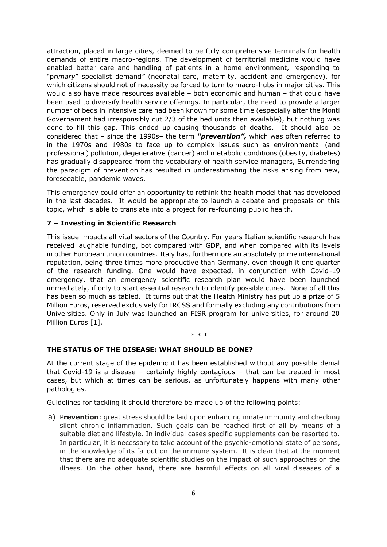attraction, placed in large cities, deemed to be fully comprehensive terminals for health demands of entire macro-regions. The development of territorial medicine would have enabled better care and handling of patients in a home environment, responding to "p*rimary*" specialist demand*"* (neonatal care, maternity, accident and emergency), for which citizens should not of necessity be forced to turn to macro-hubs in major cities. This would also have made resources available – both economic and human – that could have been used to diversify health service offerings. In particular, the need to provide a larger number of beds in intensive care had been known for some time (especially after the Monti Governament had irresponsibly cut 2/3 of the bed units then available), but nothing was done to fill this gap. This ended up causing thousands of deaths. It should also be considered that – since the 1990s– the term *"prevention",* which was often referred to in the 1970s and 1980s to face up to complex issues such as environmental (and professional) pollution, degenerative (cancer) and metabolic conditions (obesity, diabetes) has gradually disappeared from the vocabulary of health service managers, Surrendering the paradigm of prevention has resulted in underestimating the risks arising from new, foreseeable, pandemic waves.

This emergency could offer an opportunity to rethink the health model that has developed in the last decades. It would be appropriate to launch a debate and proposals on this topic, which is able to translate into a project for re-founding public health.

# **7 – Investing in Scientific Research**

This issue impacts all vital sectors of the Country. For years Italian scientific research has received laughable funding, bot compared with GDP, and when compared with its levels in other European union countries. Italy has, furthermore an absolutely prime international reputation, being three times more productive than Germany, even though it one quarter of the research funding. One would have expected, in conjunction with Covid-19 emergency, that an emergency scientific research plan would have been launched immediately, if only to start essential research to identify possible cures. None of all this has been so much as tabled. It turns out that the Health Ministry has put up a prize of 5 Million Euros, reserved exclusively for IRCSS and formally excluding any contributions from Universities. Only in July was launched an FISR program for universities, for around 20 Million Euros [1].

#### \* \* \*

#### **THE STATUS OF THE DISEASE: WHAT SHOULD BE DONE?**

At the current stage of the epidemic it has been established without any possible denial that Covid-19 is a disease – certainly highly contagious – that can be treated in most cases, but which at times can be serious, as unfortunately happens with many other pathologies.

Guidelines for tackling it should therefore be made up of the following points:

a) P**revention**: great stress should be laid upon enhancing innate immunity and checking silent chronic inflammation. Such goals can be reached first of all by means of a suitable diet and lifestyle. In individual cases specific supplements can be resorted to. In particular, it is necessary to take account of the psychic-emotional state of persons, in the knowledge of its fallout on the immune system. It is clear that at the moment that there are no adequate scientific studies on the impact of such approaches on the illness. On the other hand, there are harmful effects on all viral diseases of a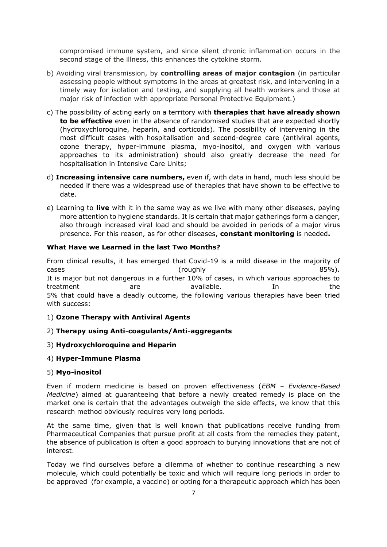compromised immune system, and since silent chronic inflammation occurs in the second stage of the illness, this enhances the cytokine storm.

- b) Avoiding viral transmission, by **controlling areas of major contagion** (in particular assessing people without symptoms in the areas at greatest risk, and intervening in a timely way for isolation and testing, and supplying all health workers and those at major risk of infection with appropriate Personal Protective Equipment.)
- c) The possibility of acting early on a territory with **therapies that have already shown to be effective** even in the absence of randomised studies that are expected shortly (hydroxychloroquine, heparin, and corticoids). The possibility of intervening in the most difficult cases with hospitalisation and second-degree care (antiviral agents, ozone therapy, hyper-immune plasma, myo-inositol, and oxygen with various approaches to its administration) should also greatly decrease the need for hospitalisation in Intensive Care Units;
- d) **Increasing intensive care numbers,** even if, with data in hand, much less should be needed if there was a widespread use of therapies that have shown to be effective to date.
- e) Learning to **live** with it in the same way as we live with many other diseases, paying more attention to hygiene standards. It is certain that major gatherings form a danger, also through increased viral load and should be avoided in periods of a major virus presence. For this reason, as for other diseases, **constant monitoring** is needed**.**

# **What Have we Learned in the last Two Months?**

From clinical results, it has emerged that Covid-19 is a mild disease in the majority of cases and the cases of the control of the cases of the cases of the cases of the cases of the cases of the cas It is major but not dangerous in a further 10% of cases, in which various approaches to treatment are available. In the 5% that could have a deadly outcome, the following various therapies have been tried with success:

#### 1) **Ozone Therapy with Antiviral Agents**

# 2) **Therapy using Anti-coagulants/Anti-aggregants**

#### 3) **Hydroxychloroquine and Heparin**

#### 4) **Hyper-Immune Plasma**

#### 5) **Myo-inositol**

Even if modern medicine is based on proven effectiveness (*EBM – Evidence-Based Medicine*) aimed at guaranteeing that before a newly created remedy is place on the market one is certain that the advantages outweigh the side effects, we know that this research method obviously requires very long periods.

At the same time, given that is well known that publications receive funding from Pharmaceutical Companies that pursue profit at all costs from the remedies they patent, the absence of publication is often a good approach to burying innovations that are not of interest.

Today we find ourselves before a dilemma of whether to continue researching a new molecule, which could potentially be toxic and which will require long periods in order to be approved (for example, a vaccine) or opting for a therapeutic approach which has been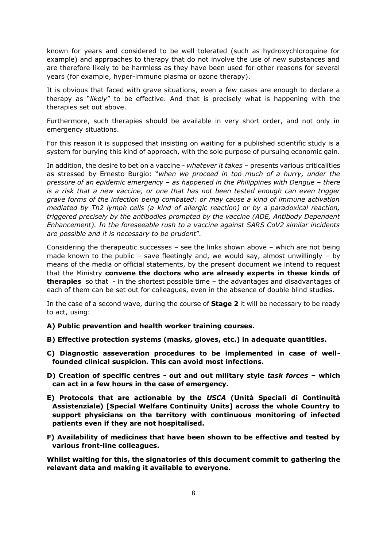known for years and considered to be well tolerated (such as hydroxychloroquine for example) and approaches to therapy that do not involve the use of new substances and are therefore likely to be harmless as they have been used for other reasons for several years (for example, hyper-immune plasma or ozone therapy).

It is obvious that faced with grave situations, even a few cases are enough to declare a therapy as "*likely*" to be effective. And that is precisely what is happening with the therapies set out above.

Furthermore, such therapies should be available in very short order, and not only in emergency situations.

For this reason it is supposed that insisting on waiting for a published scientific study is a system for burying this kind of approach, with the sole purpose of pursuing economic gain.

In addition, the desire to bet on a vaccine - *whatever it takes* – presents various criticalities as stressed by Ernesto Burgio: "*when we proceed in too much of a hurry, under the pressure of an epidemic emergency* – *as happened in the Philippines with Dengue* – *there is a risk that a new vaccine, or one that has not been tested enough can even trigger grave forms of the infection being combated: or may cause a kind of immune activation mediated by Th2 lymph cells (a kind of allergic reaction) or by a paradoxical reaction, triggered precisely by the antibodies prompted by the vaccine (ADE, Antibody Dependent Enhancement). In the foreseeable rush to a vaccine against SARS CoV2 similar incidents are possible and it is necessary to be prudent*"*.*

Considering the therapeutic successes – see the links shown above – which are not being made known to the public – save fleetingly and, we would say, almost unwillingly – by means of the media or official statements, by the present document we intend to request that the Ministry **convene the doctors who are already experts in these kinds of therapies** so that - in the shortest possible time – the advantages and disadvantages of each of them can be set out for colleagues, even in the absence of double blind studies.

In the case of a second wave, during the course of **Stage 2** it will be necessary to be ready to act, using:

- **A) Public prevention and health worker training courses.**
- **B) Effective protection systems (masks, gloves, etc.) in adequate quantities.**
- **C) Diagnostic asseveration procedures to be implemented in case of wellfounded clinical suspicion. This can avoid most infections.**
- **D) Creation of specific centres - out and out military style** *task forces* **– which can act in a few hours in the case of emergency.**
- **E) Protocols that are actionable by the** *USCA* **(Unità Speciali di Continuità Assistenziale) [Special Welfare Continuity Units] across the whole Country to support physicians on the territory with continuous monitoring of infected patients even if they are not hospitalised.**
- **F) Availability of medicines that have been shown to be effective and tested by various front-line colleagues.**

**Whilst waiting for this, the signatories of this document commit to gathering the relevant data and making it available to everyone.**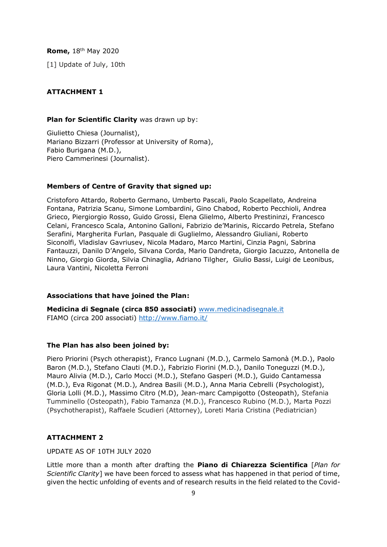**Rome,** 18th May 2020

[1] Update of July, 10th

## **ATTACHMENT 1**

#### **Plan for Scientific Clarity** was drawn up by:

Giulietto Chiesa (Journalist), Mariano Bizzarri (Professor at University of Roma), Fabio Burigana (M.D.), Piero Cammerinesi (Journalist).

#### **Members of Centre of Gravity that signed up:**

Cristoforo Attardo, Roberto Germano, Umberto Pascali, Paolo Scapellato, Andreina Fontana, Patrizia Scanu, Simone Lombardini, Gino Chabod, Roberto Pecchioli, Andrea Grieco, Piergiorgio Rosso, Guido Grossi, Elena Glielmo, Alberto Prestininzi, Francesco Celani, Francesco Scala, Antonino Galloni, Fabrizio de'Marinis, Riccardo Petrela, Stefano Serafini, Margherita Furlan, Pasquale di Guglielmo, Alessandro Giuliani, Roberto Siconolfi, Vladislav Gavriusev, Nicola Madaro, Marco Martini, Cinzia Pagni, Sabrina Fantauzzi, Danilo D'Angelo, Silvana Corda, Mario Dandreta, Giorgio Iacuzzo, Antonella de Ninno, Giorgio Giorda, Silvia Chinaglia, Adriano Tilgher, Giulio Bassi, Luigi de Leonibus, Laura Vantini, Nicoletta Ferroni

## **Associations that have joined the Plan:**

**Medicina di Segnale (circa 850 associati)** www.medicinadisegnale.it FIAMO (circa 200 associati)<http://www.fiamo.it/>

# **The Plan has also been joined by:**

Piero Priorini (Psych otherapist), Franco Lugnani (M.D.), Carmelo Samonà (M.D.), Paolo Baron (M.D.), Stefano Clauti (M.D.), Fabrizio Fiorini (M.D.), Danilo Toneguzzi (M.D.), Mauro Alivia (M.D.), Carlo Mocci (M.D.), Stefano Gasperi (M.D.), Guido Cantamessa (M.D.), Eva Rigonat (M.D.), Andrea Basili (M.D.), Anna Maria Cebrelli (Psychologist), Gloria Lolli (M.D.), Massimo Citro (M.D), Jean-marc Campigotto (Osteopath), Stefania Tumminello (Osteopath), Fabio Tamanza (M.D.), Francesco Rubino (M.D.), Marta Pozzi (Psychotherapist), Raffaele Scudieri (Attorney), Loreti Maria Cristina (Pediatrician)

#### **ATTACHMENT 2**

UPDATE AS OF 10TH JULY 2020

Little more than a month after drafting the **Piano di Chiarezza Scientifica** [*Plan for Scientific Clarity*] we have been forced to assess what has happened in that period of time, given the hectic unfolding of events and of research results in the field related to the Covid-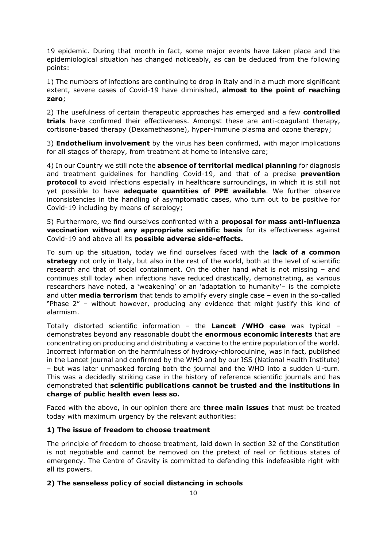19 epidemic. During that month in fact, some major events have taken place and the epidemiological situation has changed noticeably, as can be deduced from the following points:

1) The numbers of infections are continuing to drop in Italy and in a much more significant extent, severe cases of Covid-19 have diminished, **almost to the point of reaching zero**;

2) The usefulness of certain therapeutic approaches has emerged and a few **controlled trials** have confirmed their effectiveness. Amongst these are anti-coagulant therapy, cortisone-based therapy (Dexamethasone), hyper-immune plasma and ozone therapy;

3) **Endothelium involvement** by the virus has been confirmed, with major implications for all stages of therapy, from treatment at home to intensive care;

4) In our Country we still note the **absence of territorial medical planning** for diagnosis and treatment guidelines for handling Covid-19, and that of a precise **prevention protocol** to avoid infections especially in healthcare surroundings, in which it is still not yet possible to have **adequate quantities of PPE available**. We further observe inconsistencies in the handling of asymptomatic cases, who turn out to be positive for Covid-19 including by means of serology;

5) Furthermore, we find ourselves confronted with a **proposal for mass anti-influenza vaccination without any appropriate scientific basis** for its effectiveness against Covid-19 and above all its **possible adverse side-effects.**

To sum up the situation, today we find ourselves faced with the **lack of a common strategy** not only in Italy, but also in the rest of the world, both at the level of scientific research and that of social containment. On the other hand what is not missing – and continues still today when infections have reduced drastically, demonstrating, as various researchers have noted, a 'weakening' or an 'adaptation to humanity'– is the complete and utter **media terrorism** that tends to amplify every single case – even in the so-called "Phase 2" – without however, producing any evidence that might justify this kind of alarmism.

Totally distorted scientific information – the **Lancet /WHO case** was typical – demonstrates beyond any reasonable doubt the **enormous economic interests** that are concentrating on producing and distributing a vaccine to the entire population of the world. Incorrect information on the harmfulness of hydroxy-chloroquinine, was in fact, published in the Lancet journal and confirmed by the WHO and by our ISS (National Health Institute) – but was later unmasked forcing both the journal and the WHO into a sudden U-turn. This was a decidedly striking case in the history of reference scientific journals and has demonstrated that **scientific publications cannot be trusted and the institutions in charge of public health even less so.**

Faced with the above, in our opinion there are **three main issues** that must be treated today with maximum urgency by the relevant authorities:

# **1) The issue of freedom to choose treatment**

The principle of freedom to choose treatment, laid down in section 32 of the Constitution is not negotiable and cannot be removed on the pretext of real or fictitious states of emergency. The Centre of Gravity is committed to defending this indefeasible right with all its powers.

# **2) The senseless policy of social distancing in schools**